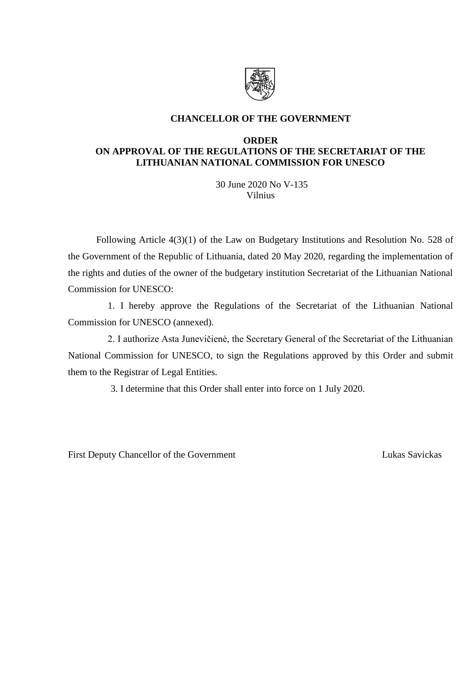

# **CHANCELLOR OF THE GOVERNMENT**

### **ORDER ON APPROVAL OF THE REGULATIONS OF THE SECRETARIAT OF THE LITHUANIAN NATIONAL COMMISSION FOR UNESCO**

30 June 2020 No V-135 Vilnius

Following Article 4(3)(1) of the Law on Budgetary Institutions and Resolution No. 528 of the Government of the Republic of Lithuania, dated 20 May 2020, regarding the implementation of the rights and duties of the owner of the budgetary institution Secretariat of the Lithuanian National Commission for UNESCO:

1. I hereby approve the Regulations of the Secretariat of the Lithuanian National Commission for UNESCO (annexed).

2. I authorize Asta Junevičienė, the Secretary General of the Secretariat of the Lithuanian National Commission for UNESCO, to sign the Regulations approved by this Order and submit them to the Registrar of Legal Entities.

3. I determine that this Order shall enter into force on 1 July 2020.

First Deputy Chancellor of the Government Lukas Savickas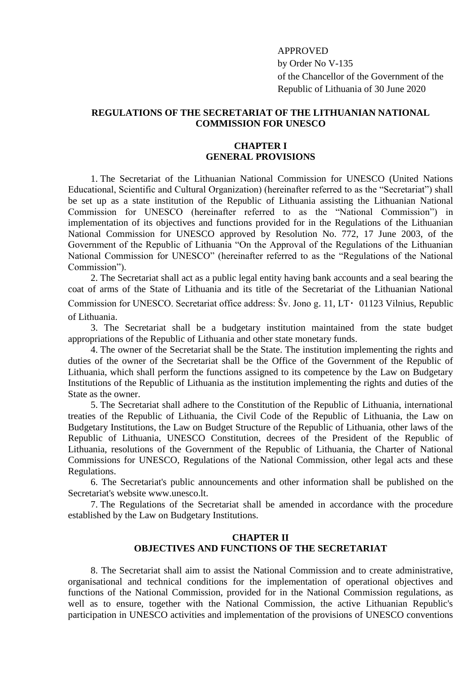#### APPROVED

by Order No V-135 of the Chancellor of the Government of the Republic of Lithuania of 30 June 2020

### **REGULATIONS OF THE SECRETARIAT OF THE LITHUANIAN NATIONAL COMMISSION FOR UNESCO**

#### **CHAPTER I GENERAL PROVISIONS**

1. The Secretariat of the Lithuanian National Commission for UNESCO (United Nations Educational, Scientific and Cultural Organization) (hereinafter referred to as the "Secretariat") shall be set up as a state institution of the Republic of Lithuania assisting the Lithuanian National Commission for UNESCO (hereinafter referred to as the "National Commission") in implementation of its objectives and functions provided for in the Regulations of the Lithuanian National Commission for UNESCO approved by Resolution No. 772, 17 June 2003, of the Government of the Republic of Lithuania "On the Approval of the Regulations of the Lithuanian National Commission for UNESCO" (hereinafter referred to as the "Regulations of the National Commission").

2. The Secretariat shall act as a public legal entity having bank accounts and a seal bearing the coat of arms of the State of Lithuania and its title of the Secretariat of the Lithuanian National Commission for UNESCO. Secretariat office address: Šv. Jono g. 11, LT 01123 Vilnius, Republic of Lithuania.

3. The Secretariat shall be a budgetary institution maintained from the state budget appropriations of the Republic of Lithuania and other state monetary funds.

4. The owner of the Secretariat shall be the State. The institution implementing the rights and duties of the owner of the Secretariat shall be the Office of the Government of the Republic of Lithuania, which shall perform the functions assigned to its competence by the Law on Budgetary Institutions of the Republic of Lithuania as the institution implementing the rights and duties of the State as the owner.

5. The Secretariat shall adhere to the Constitution of the Republic of Lithuania, international treaties of the Republic of Lithuania, the Civil Code of the Republic of Lithuania, the Law on Budgetary Institutions, the Law on Budget Structure of the Republic of Lithuania, other laws of the Republic of Lithuania, UNESCO Constitution, decrees of the President of the Republic of Lithuania, resolutions of the Government of the Republic of Lithuania, the Charter of National Commissions for UNESCO, Regulations of the National Commission, other legal acts and these Regulations.

6. The Secretariat's public announcements and other information shall be published on the Secretariat's website www.unesco.lt.

7. The Regulations of the Secretariat shall be amended in accordance with the procedure established by the Law on Budgetary Institutions.

## **CHAPTER II OBJECTIVES AND FUNCTIONS OF THE SECRETARIAT**

8. The Secretariat shall aim to assist the National Commission and to create administrative, organisational and technical conditions for the implementation of operational objectives and functions of the National Commission, provided for in the National Commission regulations, as well as to ensure, together with the National Commission, the active Lithuanian Republic's participation in UNESCO activities and implementation of the provisions of UNESCO conventions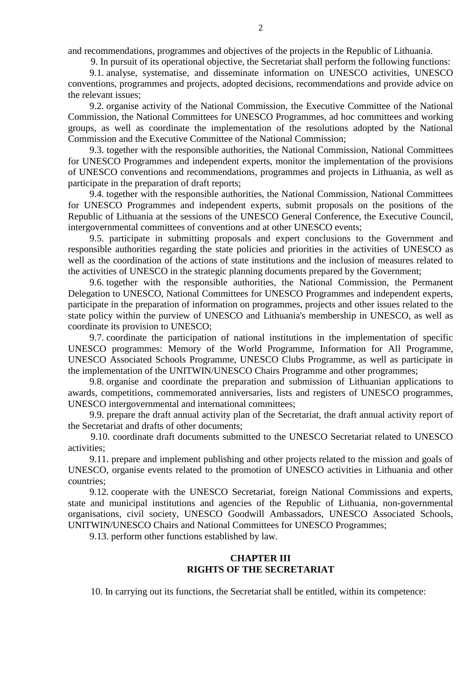and recommendations, programmes and objectives of the projects in the Republic of Lithuania.

9. In pursuit of its operational objective, the Secretariat shall perform the following functions:

9.1. analyse, systematise, and disseminate information on UNESCO activities, UNESCO conventions, programmes and projects, adopted decisions, recommendations and provide advice on the relevant issues;

9.2. organise activity of the National Commission, the Executive Committee of the National Commission, the National Committees for UNESCO Programmes, ad hoc committees and working groups, as well as coordinate the implementation of the resolutions adopted by the National Commission and the Executive Committee of the National Commission;

9.3. together with the responsible authorities, the National Commission, National Committees for UNESCO Programmes and independent experts, monitor the implementation of the provisions of UNESCO conventions and recommendations, programmes and projects in Lithuania, as well as participate in the preparation of draft reports;

9.4. together with the responsible authorities, the National Commission, National Committees for UNESCO Programmes and independent experts, submit proposals on the positions of the Republic of Lithuania at the sessions of the UNESCO General Conference, the Executive Council, intergovernmental committees of conventions and at other UNESCO events;

9.5. participate in submitting proposals and expert conclusions to the Government and responsible authorities regarding the state policies and priorities in the activities of UNESCO as well as the coordination of the actions of state institutions and the inclusion of measures related to the activities of UNESCO in the strategic planning documents prepared by the Government;

9.6. together with the responsible authorities, the National Commission, the Permanent Delegation to UNESCO, National Committees for UNESCO Programmes and independent experts, participate in the preparation of information on programmes, projects and other issues related to the state policy within the purview of UNESCO and Lithuania's membership in UNESCO, as well as coordinate its provision to UNESCO;

9.7. coordinate the participation of national institutions in the implementation of specific UNESCO programmes: Memory of the World Programme, Information for All Programme, UNESCO Associated Schools Programme, UNESCO Clubs Programme, as well as participate in the implementation of the UNITWIN/UNESCO Chairs Programme and other programmes;

9.8. organise and coordinate the preparation and submission of Lithuanian applications to awards, competitions, commemorated anniversaries, lists and registers of UNESCO programmes, UNESCO intergovernmental and international committees;

9.9. prepare the draft annual activity plan of the Secretariat, the draft annual activity report of the Secretariat and drafts of other documents;

9.10. coordinate draft documents submitted to the UNESCO Secretariat related to UNESCO activities;

9.11. prepare and implement publishing and other projects related to the mission and goals of UNESCO, organise events related to the promotion of UNESCO activities in Lithuania and other countries;

9.12. cooperate with the UNESCO Secretariat, foreign National Commissions and experts, state and municipal institutions and agencies of the Republic of Lithuania, non-governmental organisations, civil society, UNESCO Goodwill Ambassadors, UNESCO Associated Schools, UNITWIN/UNESCO Chairs and National Committees for UNESCO Programmes;

9.13. perform other functions established by law.

### **CHAPTER III RIGHTS OF THE SECRETARIAT**

10. In carrying out its functions, the Secretariat shall be entitled, within its competence: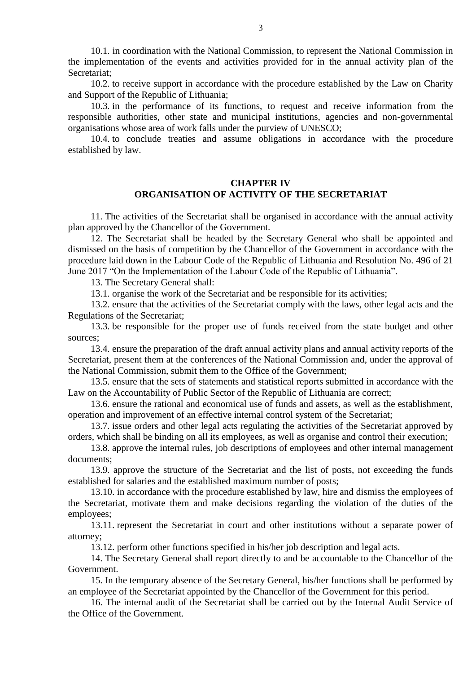10.1. in coordination with the National Commission, to represent the National Commission in the implementation of the events and activities provided for in the annual activity plan of the Secretariat;

10.2. to receive support in accordance with the procedure established by the Law on Charity and Support of the Republic of Lithuania;

10.3. in the performance of its functions, to request and receive information from the responsible authorities, other state and municipal institutions, agencies and non-governmental organisations whose area of work falls under the purview of UNESCO;

10.4. to conclude treaties and assume obligations in accordance with the procedure established by law.

### **CHAPTER IV ORGANISATION OF ACTIVITY OF THE SECRETARIAT**

11. The activities of the Secretariat shall be organised in accordance with the annual activity plan approved by the Chancellor of the Government.

12. The Secretariat shall be headed by the Secretary General who shall be appointed and dismissed on the basis of competition by the Chancellor of the Government in accordance with the procedure laid down in the Labour Code of the Republic of Lithuania and Resolution No. 496 of 21 June 2017 "On the Implementation of the Labour Code of the Republic of Lithuania".

13. The Secretary General shall:

13.1. organise the work of the Secretariat and be responsible for its activities;

13.2. ensure that the activities of the Secretariat comply with the laws, other legal acts and the Regulations of the Secretariat;

13.3. be responsible for the proper use of funds received from the state budget and other sources;

13.4. ensure the preparation of the draft annual activity plans and annual activity reports of the Secretariat, present them at the conferences of the National Commission and, under the approval of the National Commission, submit them to the Office of the Government;

13.5. ensure that the sets of statements and statistical reports submitted in accordance with the Law on the Accountability of Public Sector of the Republic of Lithuania are correct;

13.6. ensure the rational and economical use of funds and assets, as well as the establishment, operation and improvement of an effective internal control system of the Secretariat;

13.7. issue orders and other legal acts regulating the activities of the Secretariat approved by orders, which shall be binding on all its employees, as well as organise and control their execution;

13.8. approve the internal rules, job descriptions of employees and other internal management documents;

13.9. approve the structure of the Secretariat and the list of posts, not exceeding the funds established for salaries and the established maximum number of posts;

13.10. in accordance with the procedure established by law, hire and dismiss the employees of the Secretariat, motivate them and make decisions regarding the violation of the duties of the employees;

13.11. represent the Secretariat in court and other institutions without a separate power of attorney;

13.12. perform other functions specified in his/her job description and legal acts.

14. The Secretary General shall report directly to and be accountable to the Chancellor of the Government.

15. In the temporary absence of the Secretary General, his/her functions shall be performed by an employee of the Secretariat appointed by the Chancellor of the Government for this period.

16. The internal audit of the Secretariat shall be carried out by the Internal Audit Service of the Office of the Government.